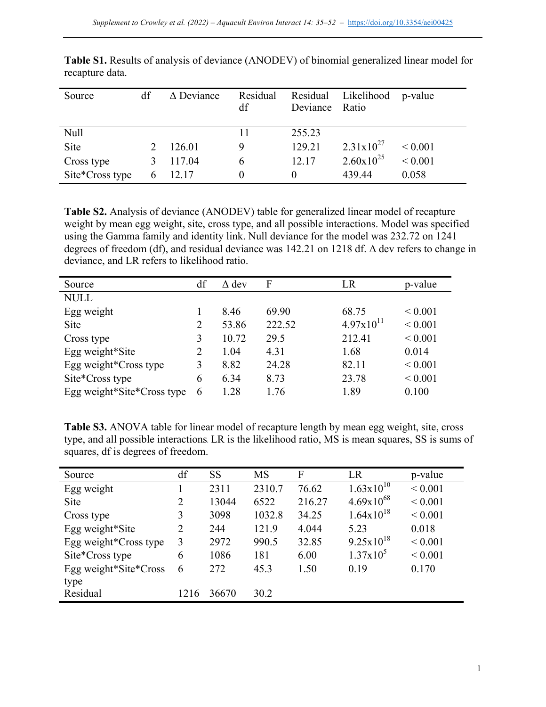| Source          | df           | $\triangle$ Deviance | Residual<br>df | Deviance Ratio | Residual Likelihood   | p-value     |
|-----------------|--------------|----------------------|----------------|----------------|-----------------------|-------------|
| <b>Null</b>     |              |                      |                | 255.23         |                       |             |
| <b>Site</b>     |              | 126.01               | 9              | 129.21         | $2.31 \times 10^{27}$ | ${}< 0.001$ |
| Cross type      |              | 117.04               | 6              | 12.17          | $2.60 \times 10^{25}$ | ${}< 0.001$ |
| Site*Cross type | <sub>b</sub> | 12.17                | $\theta$       | $\theta$       | 439.44                | 0.058       |

**Table S1.** Results of analysis of deviance (ANODEV) of binomial generalized linear model for recapture data.

**Table S2.** Analysis of deviance (ANODEV) table for generalized linear model of recapture weight by mean egg weight, site, cross type, and all possible interactions. Model was specified using the Gamma family and identity link. Null deviance for the model was 232.72 on 1241 degrees of freedom (df), and residual deviance was 142.21 on 1218 df. Δ dev refers to change in deviance, and LR refers to likelihood ratio.

| Source                     | df | $\Delta$ dev | F      | LR             | p-value      |
|----------------------------|----|--------------|--------|----------------|--------------|
| <b>NULL</b>                |    |              |        |                |              |
| Egg weight                 |    | 8.46         | 69.90  | 68.75          | ${}_{0.001}$ |
| <b>Site</b>                | 2  | 53.86        | 222.52 | $4.97x10^{11}$ | ${}< 0.001$  |
| Cross type                 | 3  | 10.72        | 29.5   | 212.41         | ${}< 0.001$  |
| Egg weight*Site            | 2  | 1.04         | 4.31   | 1.68           | 0.014        |
| Egg weight*Cross type      | 3  | 8.82         | 24.28  | 82.11          | ${}< 0.001$  |
| Site*Cross type            | 6  | 6.34         | 8.73   | 23.78          | ${}< 0.001$  |
| Egg weight*Site*Cross type | 6  | 1.28         | 1.76   | 1.89           | 0.100        |

**Table S3.** ANOVA table for linear model of recapture length by mean egg weight, site, cross type, and all possible interactions*.* LR is the likelihood ratio, MS is mean squares, SS is sums of squares, df is degrees of freedom.

| Source                | df             | <b>SS</b> | <b>MS</b> | F      | LR                    | p-value     |
|-----------------------|----------------|-----------|-----------|--------|-----------------------|-------------|
| Egg weight            |                | 2311      | 2310.7    | 76.62  | $1.63 \times 10^{10}$ | ${}< 0.001$ |
| <b>Site</b>           | 2              | 13044     | 6522      | 216.27 | $4.69x10^{68}$        | ${}< 0.001$ |
| Cross type            | 3              | 3098      | 1032.8    | 34.25  | $1.64 \times 10^{18}$ | ${}< 0.001$ |
| Egg weight*Site       | $\overline{2}$ | 244       | 121.9     | 4.044  | 5.23                  | 0.018       |
| Egg weight*Cross type | 3              | 2972      | 990.5     | 32.85  | $9.25 \times 10^{18}$ | ${}< 0.001$ |
| Site*Cross type       | 6              | 1086      | 181       | 6.00   | $1.37x10^5$           | ${}< 0.001$ |
| Egg weight*Site*Cross | 6              | 272       | 45.3      | 1.50   | 0.19                  | 0.170       |
| type                  |                |           |           |        |                       |             |
| Residual              | 1216           | 36670     | 30.2      |        |                       |             |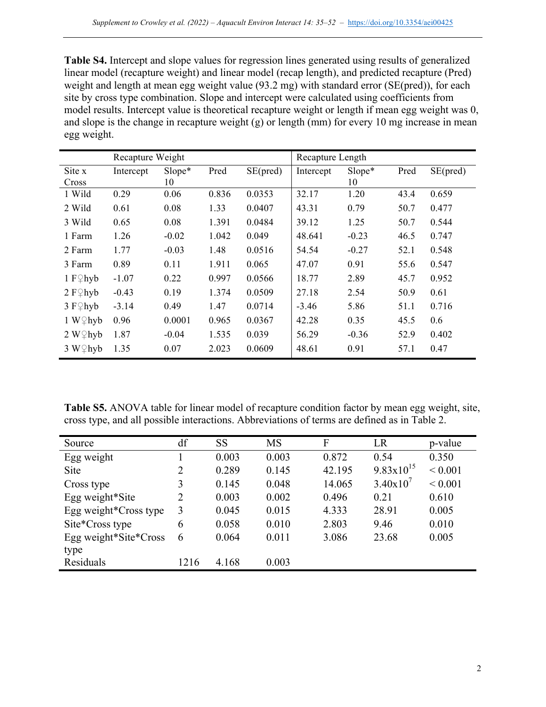**Table S4.** Intercept and slope values for regression lines generated using results of generalized linear model (recapture weight) and linear model (recap length), and predicted recapture (Pred) weight and length at mean egg weight value (93.2 mg) with standard error (SE(pred)), for each site by cross type combination. Slope and intercept were calculated using coefficients from model results. Intercept value is theoretical recapture weight or length if mean egg weight was 0, and slope is the change in recapture weight (g) or length (mm) for every 10 mg increase in mean egg weight.

|                      | Recapture Weight |         |       | Recapture Length |           |         |      |          |
|----------------------|------------------|---------|-------|------------------|-----------|---------|------|----------|
| Site x               | Intercept        | Slope*  | Pred  | SE(pred)         | Intercept | Slope*  | Pred | SE(pred) |
| Cross                |                  | 10      |       |                  |           | 10      |      |          |
| 1 Wild               | 0.29             | 0.06    | 0.836 | 0.0353           | 32.17     | 1.20    | 43.4 | 0.659    |
| 2 Wild               | 0.61             | 0.08    | 1.33  | 0.0407           | 43.31     | 0.79    | 50.7 | 0.477    |
| 3 Wild               | 0.65             | 0.08    | 1.391 | 0.0484           | 39.12     | 1.25    | 50.7 | 0.544    |
| 1 Farm               | 1.26             | $-0.02$ | 1.042 | 0.049            | 48.641    | $-0.23$ | 46.5 | 0.747    |
| 2 Farm               | 1.77             | $-0.03$ | 1.48  | 0.0516           | 54.54     | $-0.27$ | 52.1 | 0.548    |
| 3 Farm               | 0.89             | 0.11    | 1.911 | 0.065            | 47.07     | 0.91    | 55.6 | 0.547    |
| 1 $F \nsubseteq hyb$ | $-1.07$          | 0.22    | 0.997 | 0.0566           | 18.77     | 2.89    | 45.7 | 0.952    |
| $2 F\mathcal{Q}$ hyb | $-0.43$          | 0.19    | 1.374 | 0.0509           | 27.18     | 2.54    | 50.9 | 0.61     |
| $3 F\$ hyb           | $-3.14$          | 0.49    | 1.47  | 0.0714           | $-3.46$   | 5.86    | 51.1 | 0.716    |
| $1 W \nsubseteq hyb$ | 0.96             | 0.0001  | 0.965 | 0.0367           | 42.28     | 0.35    | 45.5 | 0.6      |
| $2 W \Omega$ hyb     | 1.87             | $-0.04$ | 1.535 | 0.039            | 56.29     | $-0.36$ | 52.9 | 0.402    |
| $3 W \Omega$ hyb     | 1.35             | 0.07    | 2.023 | 0.0609           | 48.61     | 0.91    | 57.1 | 0.47     |

**Table S5.** ANOVA table for linear model of recapture condition factor by mean egg weight, site, cross type, and all possible interactions. Abbreviations of terms are defined as in Table 2.

| Source                | df   | <b>SS</b> | <b>MS</b> | F      | LR                    | p-value     |
|-----------------------|------|-----------|-----------|--------|-----------------------|-------------|
| Egg weight            |      | 0.003     | 0.003     | 0.872  | 0.54                  | 0.350       |
| Site                  | 2    | 0.289     | 0.145     | 42.195 | $9.83 \times 10^{15}$ | ${}< 0.001$ |
| Cross type            | 3    | 0.145     | 0.048     | 14.065 | 3.40x10'              | ${}< 0.001$ |
| Egg weight*Site       | 2    | 0.003     | 0.002     | 0.496  | 0.21                  | 0.610       |
| Egg weight*Cross type | 3    | 0.045     | 0.015     | 4.333  | 28.91                 | 0.005       |
| Site*Cross type       | 6    | 0.058     | 0.010     | 2.803  | 9.46                  | 0.010       |
| Egg weight*Site*Cross | 6    | 0.064     | 0.011     | 3.086  | 23.68                 | 0.005       |
| type                  |      |           |           |        |                       |             |
| Residuals             | 1216 | 4.168     | 0.003     |        |                       |             |